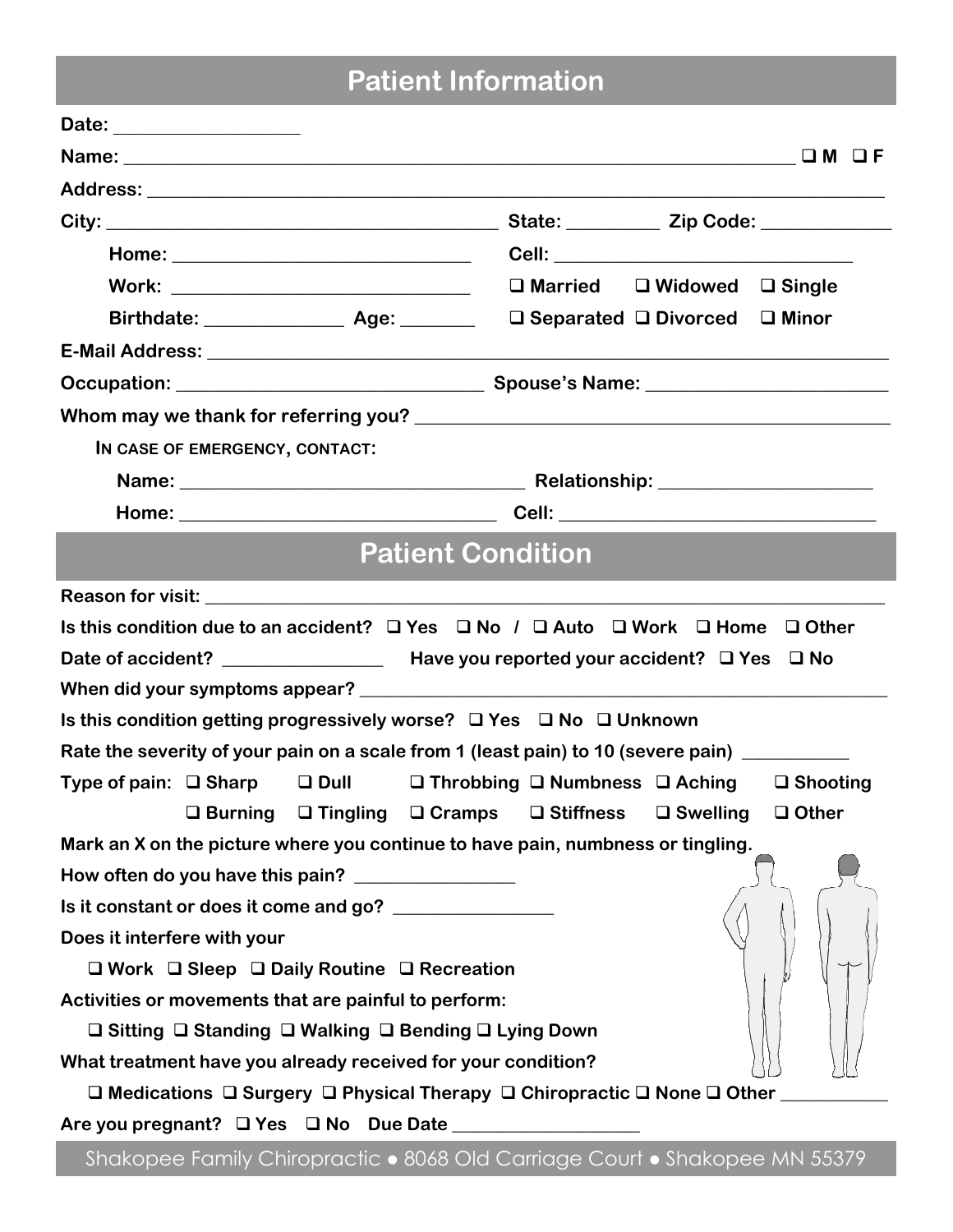# Patient Information

| Birthdate: _________________ Age: _________ □ Separated □ Divorced □ Minor                                    |                                                                                                                                                                                                                                      |  |  |  |  |  |  |
|---------------------------------------------------------------------------------------------------------------|--------------------------------------------------------------------------------------------------------------------------------------------------------------------------------------------------------------------------------------|--|--|--|--|--|--|
|                                                                                                               |                                                                                                                                                                                                                                      |  |  |  |  |  |  |
|                                                                                                               |                                                                                                                                                                                                                                      |  |  |  |  |  |  |
|                                                                                                               |                                                                                                                                                                                                                                      |  |  |  |  |  |  |
| IN CASE OF EMERGENCY, CONTACT:                                                                                |                                                                                                                                                                                                                                      |  |  |  |  |  |  |
|                                                                                                               | Name: <u>Name: Name: Name: Nelationship: Nelationship: Name: Name: Name: Name: Name: Name: Name: Name: Name: Name: Name: Name: Name: Name: Name: Name: Name: Name: Name: Name: Name: Name: Name: Name: Name: Name: Name: Name: N</u> |  |  |  |  |  |  |
|                                                                                                               |                                                                                                                                                                                                                                      |  |  |  |  |  |  |
| <b>Patient Condition</b>                                                                                      |                                                                                                                                                                                                                                      |  |  |  |  |  |  |
|                                                                                                               |                                                                                                                                                                                                                                      |  |  |  |  |  |  |
|                                                                                                               |                                                                                                                                                                                                                                      |  |  |  |  |  |  |
| Is this condition due to an accident? $\Box$ Yes $\Box$ No / $\Box$ Auto $\Box$ Work $\Box$ Home $\Box$ Other |                                                                                                                                                                                                                                      |  |  |  |  |  |  |
|                                                                                                               |                                                                                                                                                                                                                                      |  |  |  |  |  |  |
|                                                                                                               |                                                                                                                                                                                                                                      |  |  |  |  |  |  |
| Is this condition getting progressively worse? $\Box$ Yes $\Box$ No $\Box$ Unknown                            |                                                                                                                                                                                                                                      |  |  |  |  |  |  |
| Rate the severity of your pain on a scale from 1 (least pain) to 10 (severe pain) __________                  |                                                                                                                                                                                                                                      |  |  |  |  |  |  |
| Type of pain: □ Sharp □ Dull □ Throbbing □ Numbness □ Aching □ Shooting                                       |                                                                                                                                                                                                                                      |  |  |  |  |  |  |
|                                                                                                               | □ Burning □ Tingling □ Cramps □ Stiffness □ Swelling □ Other                                                                                                                                                                         |  |  |  |  |  |  |
| Mark an X on the picture where you continue to have pain, numbness or tingling.                               |                                                                                                                                                                                                                                      |  |  |  |  |  |  |
| How often do you have this pain? ________________                                                             |                                                                                                                                                                                                                                      |  |  |  |  |  |  |
| Is it constant or does it come and go? ________________                                                       |                                                                                                                                                                                                                                      |  |  |  |  |  |  |
| Does it interfere with your                                                                                   |                                                                                                                                                                                                                                      |  |  |  |  |  |  |
| $\Box$ Work $\Box$ Sleep $\Box$ Daily Routine $\Box$ Recreation                                               |                                                                                                                                                                                                                                      |  |  |  |  |  |  |
| Activities or movements that are painful to perform:                                                          |                                                                                                                                                                                                                                      |  |  |  |  |  |  |
| □ Sitting □ Standing □ Walking □ Bending □ Lying Down                                                         |                                                                                                                                                                                                                                      |  |  |  |  |  |  |
| What treatment have you already received for your condition?                                                  |                                                                                                                                                                                                                                      |  |  |  |  |  |  |
| $\Box$ Medications $\Box$ Surgery $\Box$ Physical Therapy $\Box$ Chiropractic $\Box$ None $\Box$ Other        |                                                                                                                                                                                                                                      |  |  |  |  |  |  |
| Are you pregnant? □ Yes □ No Due Date _______________                                                         |                                                                                                                                                                                                                                      |  |  |  |  |  |  |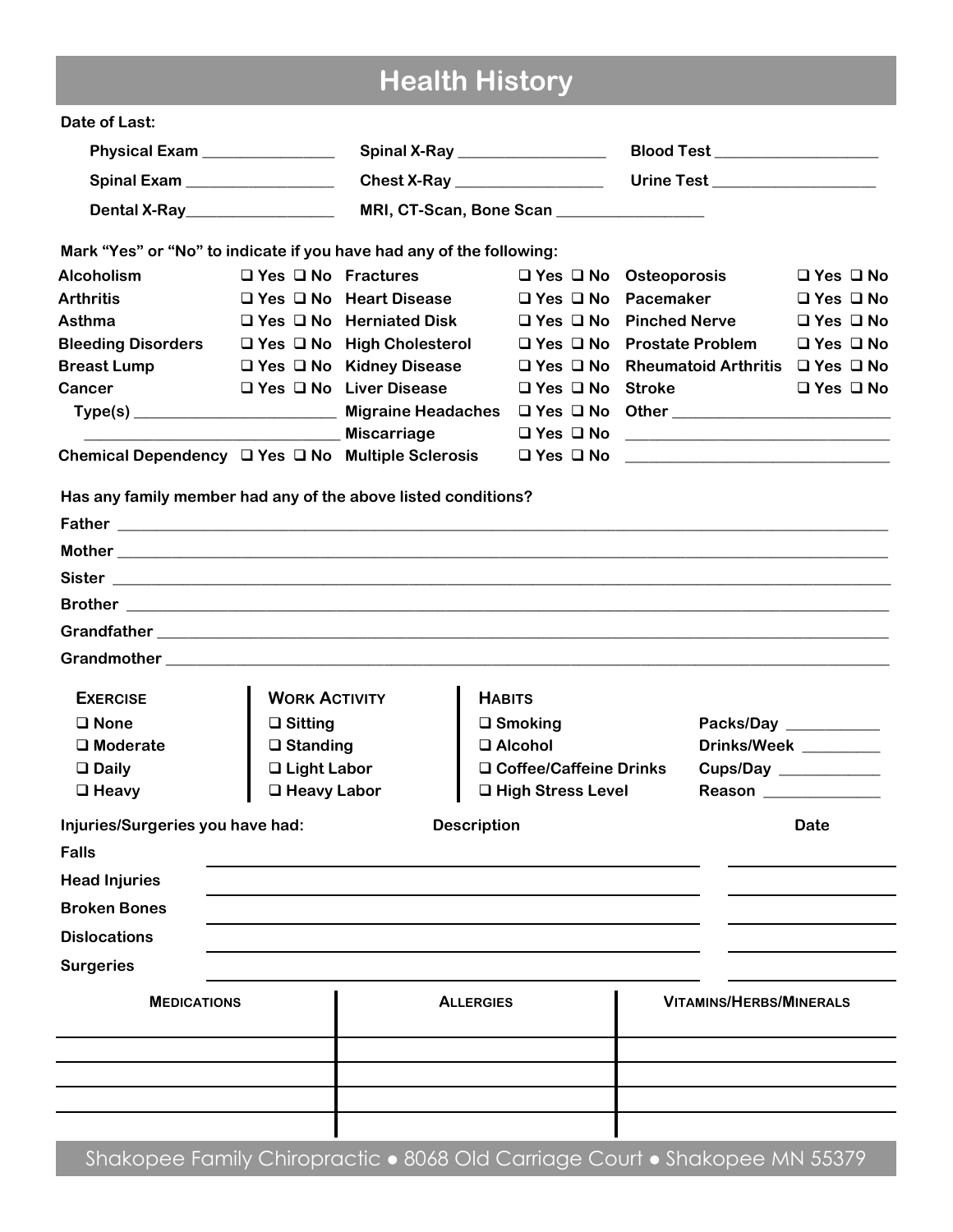# Health History

| Date of Last:                                                                                                                                                                                                                          |                                |                                       |                     |                                                       |                                                                |                                |                       |
|----------------------------------------------------------------------------------------------------------------------------------------------------------------------------------------------------------------------------------------|--------------------------------|---------------------------------------|---------------------|-------------------------------------------------------|----------------------------------------------------------------|--------------------------------|-----------------------|
| Physical Exam _______________<br>Spinal Exam _________________                                                                                                                                                                         |                                |                                       |                     | Spinal X-Ray _________________                        |                                                                | Blood Test __________________  |                       |
|                                                                                                                                                                                                                                        |                                | Chest X-Ray __________________        |                     | Urine Test ___________________                        |                                                                |                                |                       |
| Dental X-Ray<br><u>Letting and the set of the set of the set of the set of the set of the set of the set of the set of the set of the set of the set of the set of the set of the set of the set of the set of the set of the set </u> | MRI, CT-Scan, Bone Scan        |                                       |                     |                                                       |                                                                |                                |                       |
| Mark "Yes" or "No" to indicate if you have had any of the following:                                                                                                                                                                   |                                |                                       |                     |                                                       |                                                                |                                |                       |
| <b>Alcoholism</b>                                                                                                                                                                                                                      | $\Box$ Yes $\Box$ No Fractures |                                       |                     | $\Box$ Yes $\Box$ No Osteoporosis                     |                                                                |                                | $\Box$ Yes $\Box$ No  |
| <b>Arthritis</b>                                                                                                                                                                                                                       |                                | $\Box$ Yes $\Box$ No Heart Disease    |                     |                                                       | $\Box$ Yes $\Box$ No Pacemaker                                 |                                | $\Box$ Yes $\Box$ No  |
| Asthma                                                                                                                                                                                                                                 |                                | $\Box$ Yes $\Box$ No Herniated Disk   |                     | $\Box$ Yes $\Box$ No Pinched Nerve                    |                                                                |                                | $\Box$ Yes $\Box$ No  |
| <b>Bleeding Disorders</b>                                                                                                                                                                                                              |                                | $\Box$ Yes $\Box$ No High Cholesterol |                     |                                                       | $\Box$ Yes $\Box$ No Prostate Problem                          |                                | $\Box$ Yes $\Box$ No  |
| <b>Breast Lump</b>                                                                                                                                                                                                                     |                                | □ Yes □ No Kidney Disease             |                     |                                                       | $\Box$ Yes $\Box$ No Rheumatoid Arthritis $\Box$ Yes $\Box$ No |                                |                       |
| Cancer                                                                                                                                                                                                                                 |                                | $\Box$ Yes $\Box$ No Liver Disease    |                     | $\Box$ Yes $\Box$ No Stroke                           |                                                                |                                | $\Box$ Yes $\Box$ No  |
|                                                                                                                                                                                                                                        |                                |                                       |                     |                                                       |                                                                |                                |                       |
|                                                                                                                                                                                                                                        |                                | <b>Miscarriage</b>                    |                     |                                                       |                                                                |                                |                       |
| Chemical Dependency $\Box$ Yes $\Box$ No Multiple Sclerosis                                                                                                                                                                            |                                |                                       |                     | □ Yes □ No <u>____________________________</u> ______ |                                                                |                                |                       |
| Has any family member had any of the above listed conditions?                                                                                                                                                                          |                                |                                       |                     |                                                       |                                                                |                                |                       |
|                                                                                                                                                                                                                                        |                                |                                       |                     |                                                       |                                                                |                                |                       |
|                                                                                                                                                                                                                                        |                                |                                       |                     |                                                       |                                                                |                                |                       |
|                                                                                                                                                                                                                                        |                                |                                       |                     |                                                       |                                                                |                                |                       |
|                                                                                                                                                                                                                                        |                                |                                       |                     |                                                       |                                                                |                                |                       |
|                                                                                                                                                                                                                                        |                                |                                       |                     |                                                       |                                                                |                                |                       |
|                                                                                                                                                                                                                                        |                                |                                       |                     |                                                       |                                                                |                                |                       |
| <b>EXERCISE</b>                                                                                                                                                                                                                        |                                | <b>WORK ACTIVITY</b>                  |                     | <b>HABITS</b>                                         |                                                                |                                |                       |
| $\Box$ None                                                                                                                                                                                                                            | $\Box$ Sitting                 |                                       |                     | $\square$ Smoking                                     |                                                                | Packs/Day _________            |                       |
| $\square$ Moderate                                                                                                                                                                                                                     | $\square$ Standing             |                                       |                     | □ Alcohol                                             |                                                                | Drinks/Week ________           |                       |
| $\Box$ Daily                                                                                                                                                                                                                           | □ Light Labor                  |                                       |                     | □ Coffee/Caffeine Drinks                              |                                                                |                                | Cups/Day ___________  |
| $\Box$ Heavy                                                                                                                                                                                                                           | □ Heavy Labor                  |                                       | □ High Stress Level |                                                       |                                                                |                                | Reason ______________ |
| Injuries/Surgeries you have had:                                                                                                                                                                                                       |                                |                                       | <b>Description</b>  |                                                       |                                                                |                                | <b>Date</b>           |
| <b>Falls</b>                                                                                                                                                                                                                           |                                |                                       |                     |                                                       |                                                                |                                |                       |
| <b>Head Injuries</b>                                                                                                                                                                                                                   |                                |                                       |                     |                                                       |                                                                |                                |                       |
| <b>Broken Bones</b>                                                                                                                                                                                                                    |                                |                                       |                     |                                                       |                                                                |                                |                       |
| <b>Dislocations</b>                                                                                                                                                                                                                    |                                |                                       |                     |                                                       |                                                                |                                |                       |
| <b>Surgeries</b>                                                                                                                                                                                                                       |                                |                                       |                     |                                                       |                                                                |                                |                       |
| <b>MEDICATIONS</b>                                                                                                                                                                                                                     |                                |                                       | <b>ALLERGIES</b>    |                                                       |                                                                | <b>VITAMINS/HERBS/MINERALS</b> |                       |
|                                                                                                                                                                                                                                        |                                |                                       |                     |                                                       |                                                                |                                |                       |
|                                                                                                                                                                                                                                        |                                |                                       |                     |                                                       |                                                                |                                |                       |
|                                                                                                                                                                                                                                        |                                |                                       |                     |                                                       |                                                                |                                |                       |
|                                                                                                                                                                                                                                        |                                |                                       |                     |                                                       |                                                                |                                |                       |

Shakopee Family Chiropractic . 8068 Old Carriage Court . Shakopee MN 55379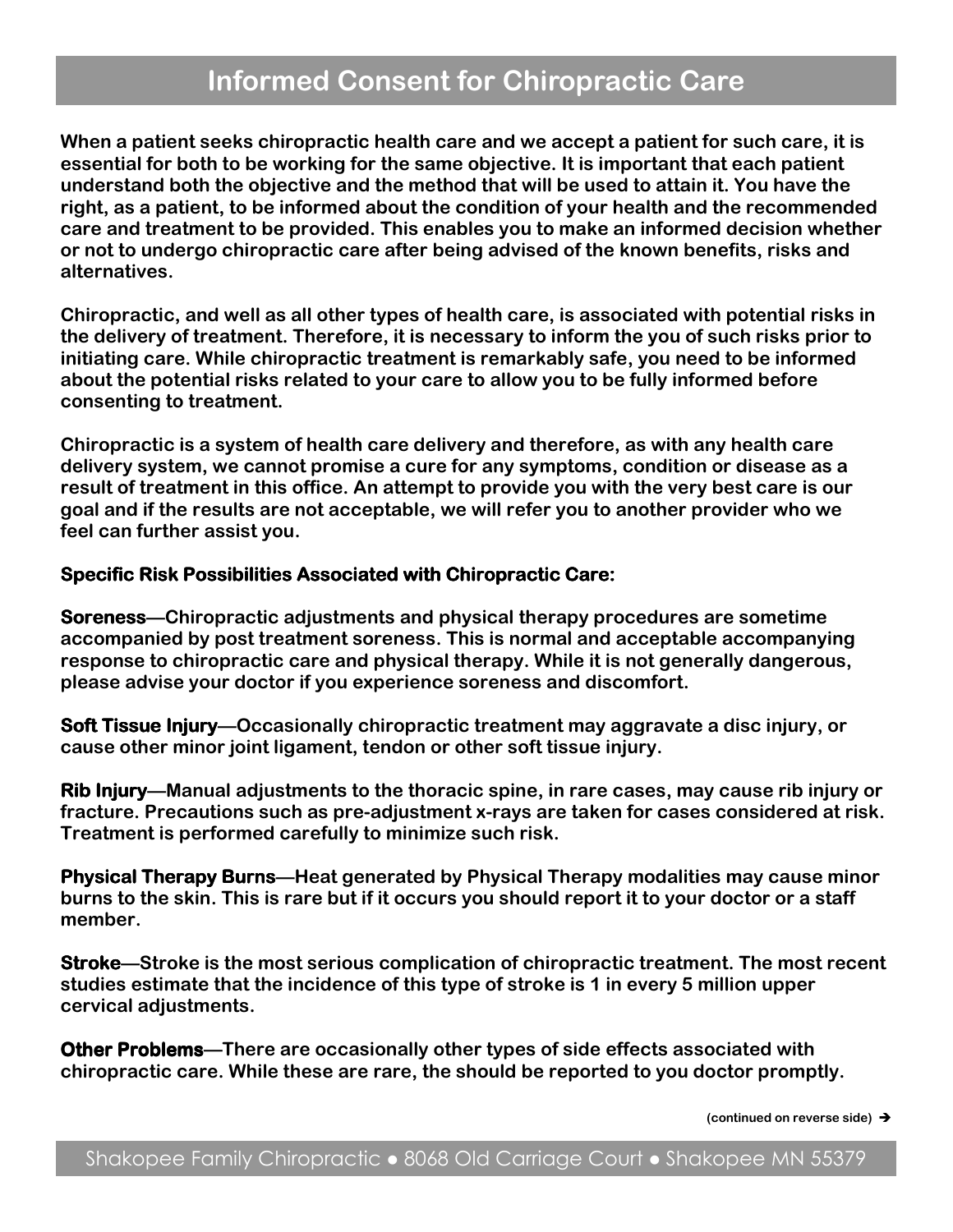### Informed Consent for Chiropractic Care

When a patient seeks chiropractic health care and we accept a patient for such care, it is essential for both to be working for the same objective. It is important that each patient understand both the objective and the method that will be used to attain it. You have the right, as a patient, to be informed about the condition of your health and the recommended care and treatment to be provided. This enables you to make an informed decision whether or not to undergo chiropractic care after being advised of the known benefits, risks and alternatives.

Chiropractic, and well as all other types of health care, is associated with potential risks in the delivery of treatment. Therefore, it is necessary to inform the you of such risks prior to initiating care. While chiropractic treatment is remarkably safe, you need to be informed about the potential risks related to your care to allow you to be fully informed before consenting to treatment.

Chiropractic is a system of health care delivery and therefore, as with any health care delivery system, we cannot promise a cure for any symptoms, condition or disease as a result of treatment in this office. An attempt to provide you with the very best care is our goal and if the results are not acceptable, we will refer you to another provider who we feel can further assist you.

#### Specific Risk Possibilities Associated with Chiropractic Care:

Soreness—Chiropractic adjustments and physical therapy procedures are sometime accompanied by post treatment soreness. This is normal and acceptable accompanying response to chiropractic care and physical therapy. While it is not generally dangerous, please advise your doctor if you experience soreness and discomfort.

Soft Tissue Injury—Occasionally chiropractic treatment may aggravate a disc injury, or cause other minor joint ligament, tendon or other soft tissue injury.

Rib Injury—Manual adjustments to the thoracic spine, in rare cases, may cause rib injury or fracture. Precautions such as pre-adjustment x-rays are taken for cases considered at risk. Treatment is performed carefully to minimize such risk.

Physical Therapy Burns—Heat generated by Physical Therapy modalities may cause minor burns to the skin. This is rare but if it occurs you should report it to your doctor or a staff member.

**Stroke—Stroke is the most serious complication of chiropractic treatment. The most recent** studies estimate that the incidence of this type of stroke is 1 in every 5 million upper cervical adjustments.

Other Problems—There are occasionally other types of side effects associated with chiropractic care. While these are rare, the should be reported to you doctor promptly.

(continued on reverse side)  $\rightarrow$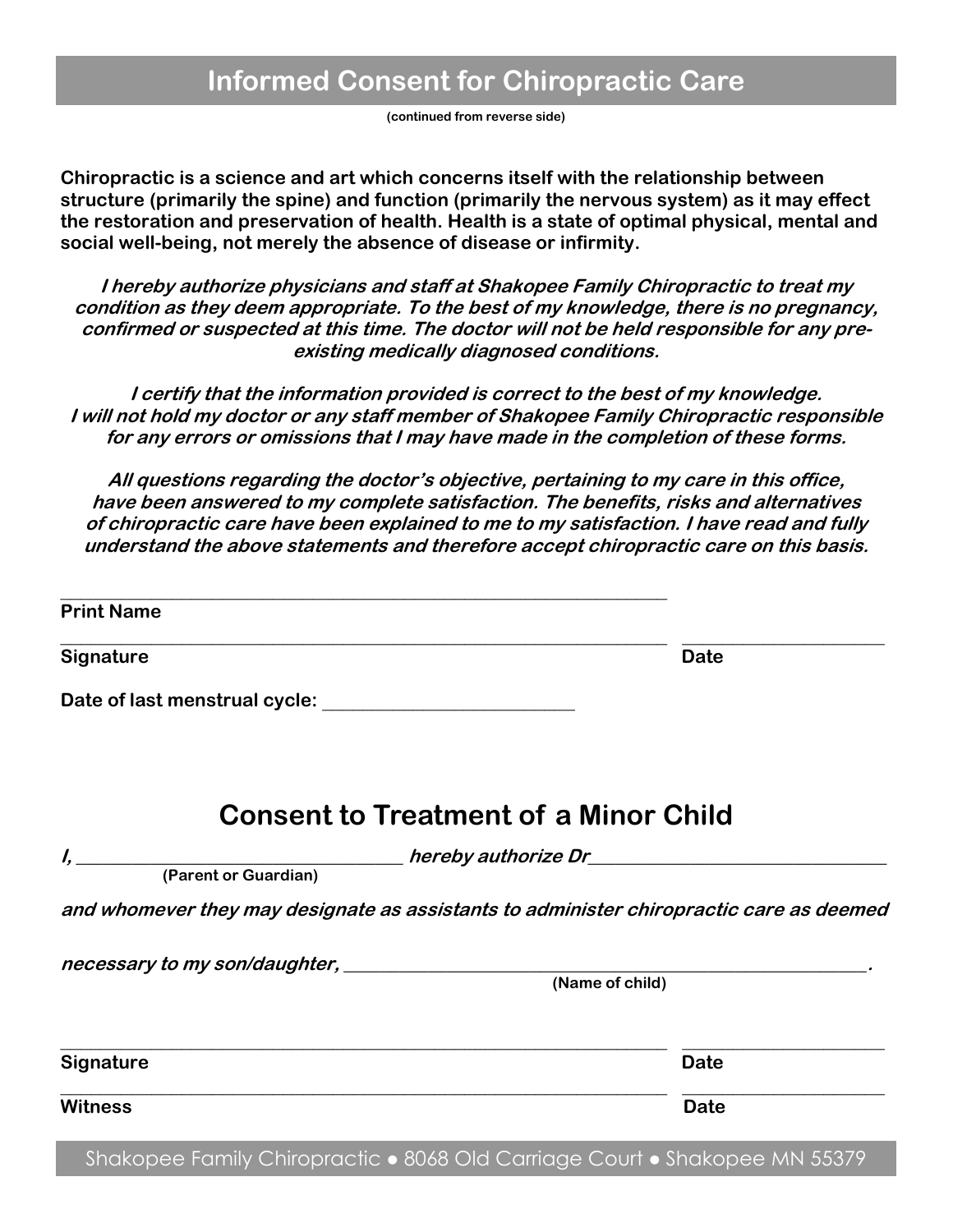(continued from reverse side)

Chiropractic is a science and art which concerns itself with the relationship between structure (primarily the spine) and function (primarily the nervous system) as it may effect the restoration and preservation of health. Health is a state of optimal physical, mental and social well-being, not merely the absence of disease or infirmity.

I hereby authorize physicians and staff at Shakopee Family Chiropractic to treat my condition as they deem appropriate. To the best of my knowledge, there is no pregnancy, confirmed or suspected at this time. The doctor will not be held responsible for any preexisting medically diagnosed conditions.

I certify that the information provided is correct to the best of my knowledge. I will not hold my doctor or any staff member of Shakopee Family Chiropractic responsible for any errors or omissions that I may have made in the completion of these forms.

All questions regarding the doctor's objective, pertaining to my care in this office, have been answered to my complete satisfaction. The benefits, risks and alternatives of chiropractic care have been explained to me to my satisfaction. I have read and fully understand the above statements and therefore accept chiropractic care on this basis.

\_\_\_\_\_\_\_\_\_\_\_\_\_\_\_\_\_\_\_\_\_\_\_\_\_\_\_\_\_\_\_\_\_\_\_\_\_\_\_\_\_\_\_\_\_\_\_\_\_\_\_\_\_\_\_\_\_\_\_\_ \_\_\_\_\_\_\_\_\_\_\_\_\_\_\_\_\_\_\_\_

Print Name

Signature Date **Date** 

Date of last menstrual cycle: \_\_\_\_\_\_\_\_\_\_\_\_\_\_\_\_\_\_\_\_\_\_\_\_\_

 $\_$  , and the contribution of the contribution of  $\mathcal{L}_1$  , and the contribution of  $\mathcal{L}_2$ 

### Consent to Treatment of a Minor Child

I, \_\_\_\_\_\_\_\_\_\_\_\_\_\_\_\_\_\_\_\_\_\_\_\_\_\_\_\_\_\_\_\_\_\_\_ hereby authorize Dr\_\_\_\_\_\_\_\_\_\_\_\_\_\_\_\_\_\_\_\_\_\_\_\_\_\_\_\_\_\_\_\_

(Parent or Guardian)

and whomever they may designate as assistants to administer chiropractic care as deemed

necessary to my son/daughter, \_\_\_\_\_\_\_\_\_\_\_\_\_\_\_\_\_\_\_\_\_\_\_\_\_\_\_\_\_\_\_\_\_\_\_\_\_\_\_\_\_\_\_\_\_\_\_\_\_\_\_\_\_\_\_\_.

(Name of child)

Signature Date Date Communications and the Date Date Date Date Date

witness **Date** 

Shakopee Family Chiropractic • 8068 Old Carriage Court • Shakopee MN 55379

\_\_\_\_\_\_\_\_\_\_\_\_\_\_\_\_\_\_\_\_\_\_\_\_\_\_\_\_\_\_\_\_\_\_\_\_\_\_\_\_\_\_\_\_\_\_\_\_\_\_\_\_\_\_\_\_\_\_\_\_ \_\_\_\_\_\_\_\_\_\_\_\_\_\_\_\_\_\_\_\_

\_\_\_\_\_\_\_\_\_\_\_\_\_\_\_\_\_\_\_\_\_\_\_\_\_\_\_\_\_\_\_\_\_\_\_\_\_\_\_\_\_\_\_\_\_\_\_\_\_\_\_\_\_\_\_\_\_\_\_\_ \_\_\_\_\_\_\_\_\_\_\_\_\_\_\_\_\_\_\_\_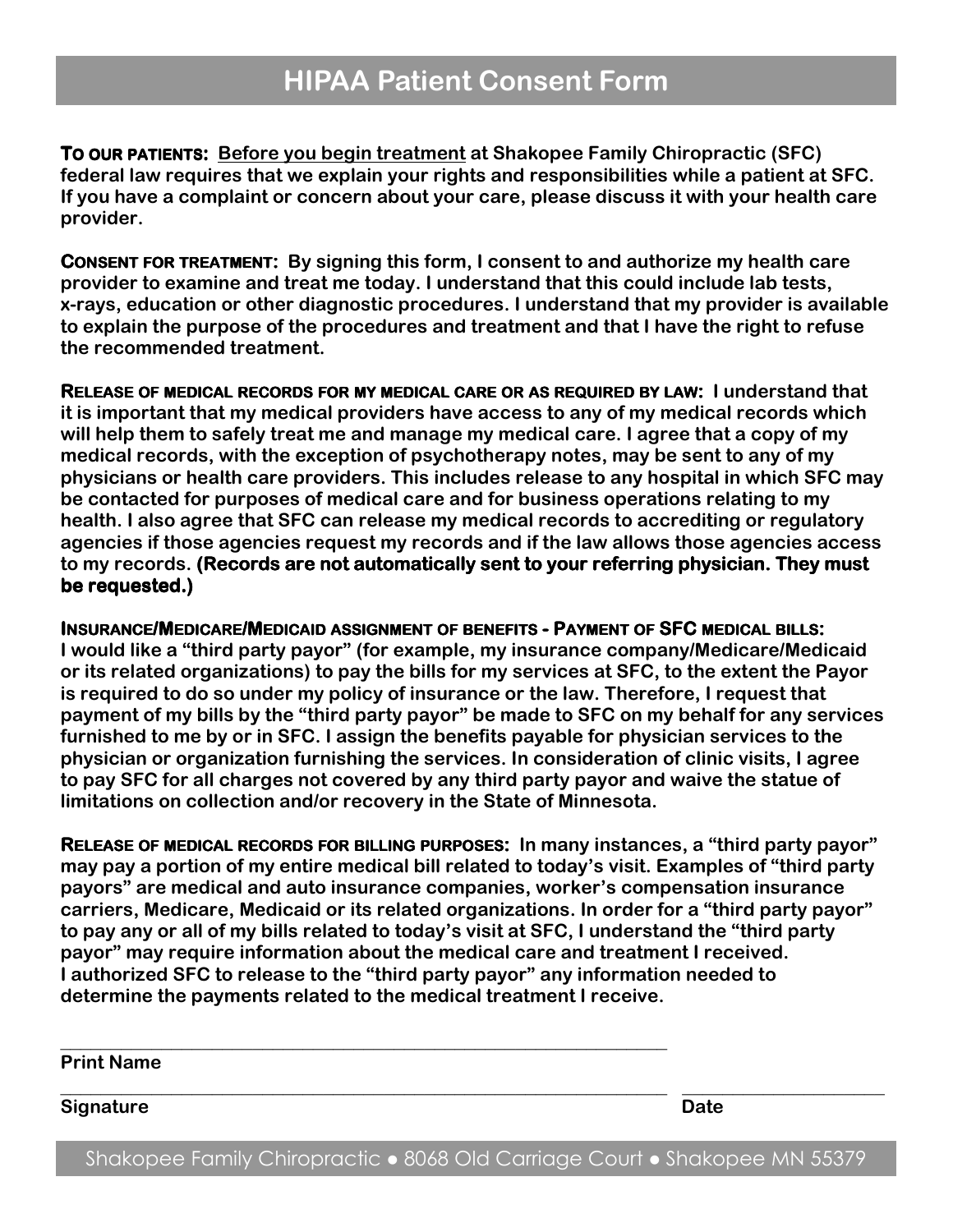TO OUR PATIENTS: Before you begin treatment at Shakopee Family Chiropractic (SFC) federal law requires that we explain your rights and responsibilities while a patient at SFC. If you have a complaint or concern about your care, please discuss it with your health care provider.

CONSENT FOR TREATMENT: By signing this form, I consent to and authorize my health care provider to examine and treat me today. I understand that this could include lab tests, x-rays, education or other diagnostic procedures. I understand that my provider is available to explain the purpose of the procedures and treatment and that I have the right to refuse the recommended treatment.

RELEASE OF MEDICAL RECORDS FOR MY MEDICAL CARE OR AS REQUIRED BY LAW: I understand that : it is important that my medical providers have access to any of my medical records which will help them to safely treat me and manage my medical care. I agree that a copy of my medical records, with the exception of psychotherapy notes, may be sent to any of my physicians or health care providers. This includes release to any hospital in which SFC may be contacted for purposes of medical care and for business operations relating to my health. I also agree that SFC can release my medical records to accrediting or regulatory agencies if those agencies request my records and if the law allows those agencies access to my records. (Records are not automatically sent to your referring physician. They must be requested.)

INSURANCE/MEDICARE/MEDICAID ASSIGNMENT OF BENEFITS- PAYMENT OFSFC MEDICAL BILLS: I would like a "third party payor" (for example, my insurance company/Medicare/Medicaid or its related organizations) to pay the bills for my services at SFC, to the extent the Payor is required to do so under my policy of insurance or the law. Therefore, I request that payment of my bills by the "third party payor" be made to SFC on my behalf for any services furnished to me by or in SFC. I assign the benefits payable for physician services to the physician or organization furnishing the services. In consideration of clinic visits, I agree to pay SFC for all charges not covered by any third party payor and waive the statue of limitations on collection and/or recovery in the State of Minnesota.

RELEASE OF MEDICAL RECORDS FOR BILLING PURPOSES: In many instances, a "third party payor" may pay a portion of my entire medical bill related to today's visit. Examples of "third party payors" are medical and auto insurance companies, worker's compensation insurance carriers, Medicare, Medicaid or its related organizations. In order for a "third party payor" to pay any or all of my bills related to today's visit at SFC, I understand the "third party payor" may require information about the medical care and treatment I received. I authorized SFC to release to the "third party payor" any information needed to determine the payments related to the medical treatment I receive.

\_\_\_\_\_\_\_\_\_\_\_\_\_\_\_\_\_\_\_\_\_\_\_\_\_\_\_\_\_\_\_\_\_\_\_\_\_\_\_\_\_\_\_\_\_\_\_\_\_\_\_\_\_\_\_\_\_\_\_\_

Print Name

Signature Date **Date** 

Shakopee Family Chiropractic • 8068 Old Carriage Court • Shakopee MN 55379

\_\_\_\_\_\_\_\_\_\_\_\_\_\_\_\_\_\_\_\_\_\_\_\_\_\_\_\_\_\_\_\_\_\_\_\_\_\_\_\_\_\_\_\_\_\_\_\_\_\_\_\_\_\_\_\_\_\_\_\_ \_\_\_\_\_\_\_\_\_\_\_\_\_\_\_\_\_\_\_\_